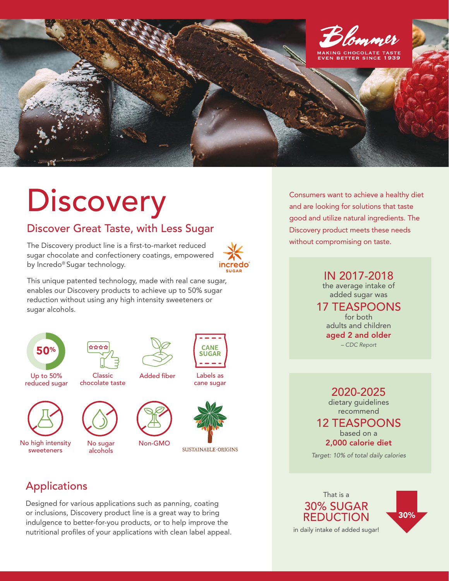

## **Discovery**

## Discover Great Taste, with Less Sugar

The Discovery product line is a first-to-market reduced sugar chocolate and confectionery coatings, empowered by Incredo® Sugar technology.



This unique patented technology, made with real cane sugar, enables our Discovery products to achieve up to 50% sugar reduction without using any high intensity sweeteners or sugar alcohols.



\*\*\*\*













Labels as cane sugar

**CANF SUGAR** 

Applications

sweeteners

Designed for various applications such as panning, coating or inclusions, Discovery product line is a great way to bring indulgence to better-for-you products, or to help improve the nutritional profiles of your applications with clean label appeal. Consumers want to achieve a healthy diet and are looking for solutions that taste good and utilize natural ingredients. The Discovery product meets these needs without compromising on taste.

> IN 2017-2018 the average intake of added sugar was

17 TEASPOONS for both adults and children aged 2 and older *– CDC Report*

2020-2025

dietary guidelines recommend

12 TEASPOONS based on a 2,000 calorie diet

*Target: 10% of total daily calories*